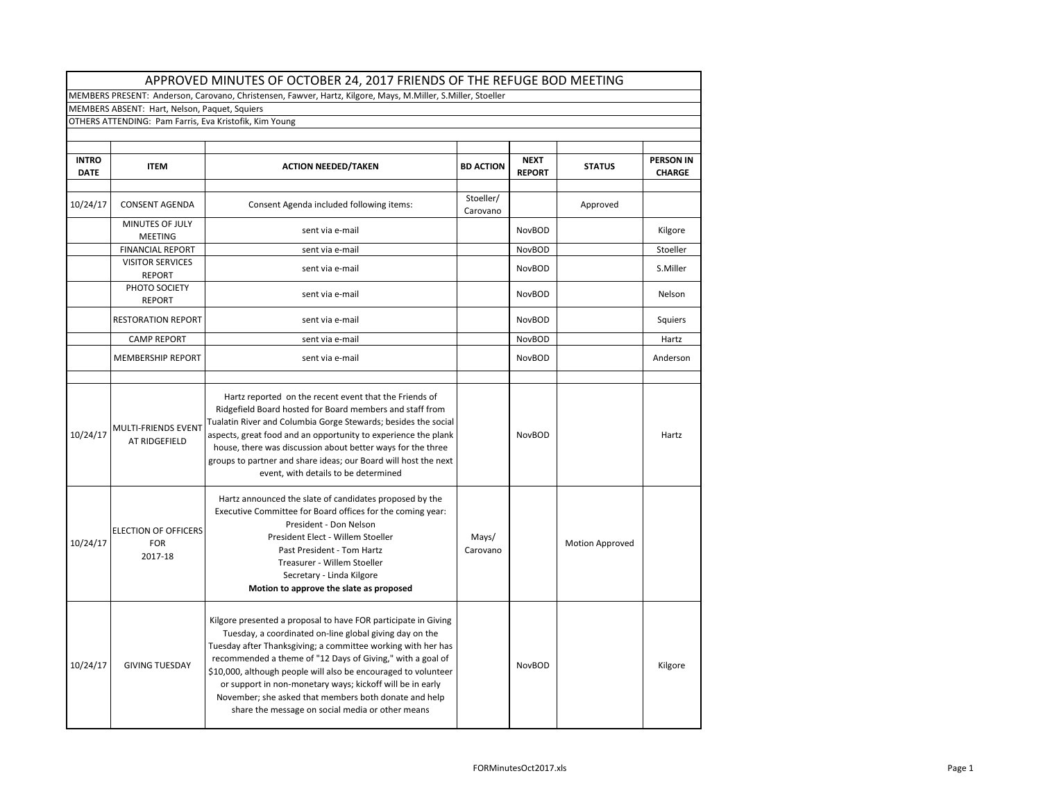|                             | MEMBERS ABSENT: Hart, Nelson, Paquet, Squiers          |                                                                                                                                                                                                                                                                                                                                                                                                                                                                                                     |                       |                              |                 |                                   |
|-----------------------------|--------------------------------------------------------|-----------------------------------------------------------------------------------------------------------------------------------------------------------------------------------------------------------------------------------------------------------------------------------------------------------------------------------------------------------------------------------------------------------------------------------------------------------------------------------------------------|-----------------------|------------------------------|-----------------|-----------------------------------|
|                             | OTHERS ATTENDING: Pam Farris, Eva Kristofik, Kim Young |                                                                                                                                                                                                                                                                                                                                                                                                                                                                                                     |                       |                              |                 |                                   |
| <b>INTRO</b><br><b>DATE</b> | <b>ITEM</b>                                            | <b>ACTION NEEDED/TAKEN</b>                                                                                                                                                                                                                                                                                                                                                                                                                                                                          | <b>BD ACTION</b>      | <b>NEXT</b><br><b>REPORT</b> | <b>STATUS</b>   | <b>PERSON IN</b><br><b>CHARGE</b> |
| 10/24/17                    | <b>CONSENT AGENDA</b>                                  | Consent Agenda included following items:                                                                                                                                                                                                                                                                                                                                                                                                                                                            | Stoeller/<br>Carovano |                              | Approved        |                                   |
|                             | MINUTES OF JULY<br><b>MEETING</b>                      | sent via e-mail                                                                                                                                                                                                                                                                                                                                                                                                                                                                                     |                       | <b>NovBOD</b>                |                 | Kilgore                           |
|                             | <b>FINANCIAL REPORT</b>                                | sent via e-mail                                                                                                                                                                                                                                                                                                                                                                                                                                                                                     |                       | <b>NovBOD</b>                |                 | Stoeller                          |
|                             | <b>VISITOR SERVICES</b><br><b>REPORT</b>               | sent via e-mail                                                                                                                                                                                                                                                                                                                                                                                                                                                                                     |                       | <b>NovBOD</b>                |                 | S.Miller                          |
|                             | PHOTO SOCIETY<br><b>REPORT</b>                         | sent via e-mail                                                                                                                                                                                                                                                                                                                                                                                                                                                                                     |                       | <b>NovBOD</b>                |                 | Nelson                            |
|                             | <b>RESTORATION REPORT</b>                              | sent via e-mail                                                                                                                                                                                                                                                                                                                                                                                                                                                                                     |                       | <b>NovBOD</b>                |                 | Squiers                           |
|                             | <b>CAMP REPORT</b>                                     | sent via e-mail                                                                                                                                                                                                                                                                                                                                                                                                                                                                                     |                       | <b>NovBOD</b>                |                 | Hartz                             |
|                             | <b>MEMBERSHIP REPORT</b>                               | sent via e-mail                                                                                                                                                                                                                                                                                                                                                                                                                                                                                     |                       | NovBOD                       |                 | Anderson                          |
| 10/24/17                    | <b>MULTI-FRIENDS EVENT</b><br>AT RIDGEFIELD            | Tualatin River and Columbia Gorge Stewards; besides the social<br>aspects, great food and an opportunity to experience the plank<br>house, there was discussion about better ways for the three<br>groups to partner and share ideas; our Board will host the next<br>event, with details to be determined                                                                                                                                                                                          |                       | <b>NovBOD</b>                |                 | Hartz                             |
| 10/24/17                    | <b>ELECTION OF OFFICERS</b><br><b>FOR</b><br>2017-18   | Hartz announced the slate of candidates proposed by the<br>Executive Committee for Board offices for the coming year:<br>President - Don Nelson<br>President Elect - Willem Stoeller<br>Past President - Tom Hartz<br>Treasurer - Willem Stoeller<br>Secretary - Linda Kilgore<br>Motion to approve the slate as proposed                                                                                                                                                                           | Mays/<br>Carovano     |                              | Motion Approved |                                   |
| 10/24/17                    | <b>GIVING TUESDAY</b>                                  | Kilgore presented a proposal to have FOR participate in Giving<br>Tuesday, a coordinated on-line global giving day on the<br>Tuesday after Thanksgiving; a committee working with her has<br>recommended a theme of "12 Days of Giving," with a goal of<br>\$10,000, although people will also be encouraged to volunteer<br>or support in non-monetary ways; kickoff will be in early<br>November; she asked that members both donate and help<br>share the message on social media or other means |                       | <b>NovBOD</b>                |                 | Kilgore                           |